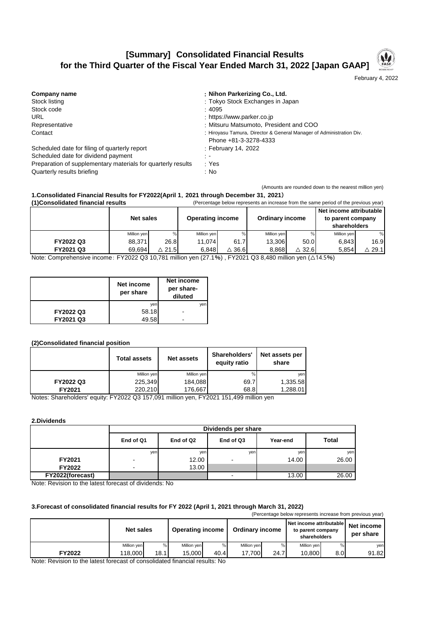## **[Summary] Consolidated Financial Results for the Third Quarter of the Fiscal Year Ended March 31, 2022 [Japan GAAP]**

February 4, 2022

| Company name                                                 | : Nihon Parkerizing Co., Ltd.                                        |
|--------------------------------------------------------------|----------------------------------------------------------------------|
| Stock listing                                                | : Tokyo Stock Exchanges in Japan                                     |
| Stock code                                                   | : 4095                                                               |
| <b>URL</b>                                                   | : https://www.parker.co.jp                                           |
| Representative                                               | : Mitsuru Matsumoto, President and COO                               |
| Contact                                                      | : Hiroyasu Tamura, Director & General Manager of Administration Div. |
|                                                              | Phone +81-3-3278-4333                                                |
| Scheduled date for filing of quarterly report                | : February 14, 2022                                                  |
| Scheduled date for dividend payment                          | ÷.                                                                   |
| Preparation of supplementary materials for quarterly results | : Yes                                                                |
| Quarterly results briefing                                   | : No                                                                 |

## **(1)Consolidated financial results** (Percentage below represents an increase from the same period of the previous year) (Amounts are rounded down to the nearest million yen) **1.Consolidated Financial Results for FY2022(April 1**,**2021 through December 31**,**2021**)

| i ngonsongaleg miancial results |                  | religinade below represents an increase from the same period of the previous year) |                         |      |                        |                  |                         |                      |
|---------------------------------|------------------|------------------------------------------------------------------------------------|-------------------------|------|------------------------|------------------|-------------------------|----------------------|
|                                 |                  |                                                                                    |                         |      |                        |                  | Net income attributable |                      |
|                                 | <b>Net sales</b> |                                                                                    | <b>Operating income</b> |      | <b>Ordinary income</b> |                  | to parent company       |                      |
|                                 |                  |                                                                                    |                         |      |                        |                  | shareholders            |                      |
|                                 | Million yen      | %                                                                                  | Million yen             |      | Million yen            |                  | Million ven             |                      |
| FY2022 Q3                       | 88.371           | 26.8                                                                               | 11.074                  | 61.7 | 13.306                 | 50.0             | 6.843                   | 16.9                 |
| FY2021 Q3                       | 69.694           | $\triangle$ 21.5                                                                   | 6.848                   | 36.6 | 8.868                  | $\triangle$ 32.6 | 5.854                   | $\vartriangle$ 29.11 |

Note: Comprehensive income: FY2022 Q3 10,781 million yen (27.1%) , FY2021 Q3 8,480 million yen (△14.5%)

|           | Net income<br>per share | Net income<br>per share-<br>diluted |
|-----------|-------------------------|-------------------------------------|
|           | yen                     | ven                                 |
| FY2022 Q3 | 58.18                   |                                     |
| FY2021 Q3 | 49.58                   |                                     |

## **(2)Consolidated financial position**

|           | <b>Total assets</b> | <b>Net assets</b> | Shareholders'<br>equity ratio | Net assets per<br>share |
|-----------|---------------------|-------------------|-------------------------------|-------------------------|
|           | Million yen         | Million yen       | %                             | ven                     |
| FY2022 Q3 | 225,349             | 184,088           | 69.7                          | 1,335.58                |
| FY2021    | 220.210             | 176.667           | 68.8                          | 1,288.01                |

Notes: Shareholders' equity: FY2022 Q3 157,091 million yen, FY2021 151,499 million yen

**2.Dividends**

|                  | Dividends per share      |           |                |          |              |  |  |  |
|------------------|--------------------------|-----------|----------------|----------|--------------|--|--|--|
|                  | End of Q1                | End of Q2 | End of Q3      | Year-end | <b>Total</b> |  |  |  |
|                  | yen                      | yen       | yen            | yen      | yen          |  |  |  |
| FY2021           | $\overline{\phantom{0}}$ | 12.00     | $\blacksquare$ | 14.00    | 26.00        |  |  |  |
| <b>FY2022</b>    | $\overline{\phantom{0}}$ | 13.00     |                |          |              |  |  |  |
| FY2022(forecast) |                          |           | ۰              | 13.00    | 26.00        |  |  |  |

Note: Revision to the latest forecast of dividends: No

## **3.Forecast of consolidated financial results for FY 2022 (April 1, 2021 through March 31, 2022)**

| (Percentage below represents increase from previous year) |                  |      |                         |      |                        |      |                                                              |     |                         |
|-----------------------------------------------------------|------------------|------|-------------------------|------|------------------------|------|--------------------------------------------------------------|-----|-------------------------|
|                                                           | <b>Net sales</b> |      | <b>Operating income</b> |      | <b>Ordinary income</b> |      | Net income attributable<br>to parent company<br>shareholders |     | Net income<br>per share |
|                                                           | Million ven      | %    | Million yen             |      | Million ven            |      | Million ven                                                  |     | yen                     |
| FY2022                                                    | 118.000          | 18.1 | 15.000                  | 40.4 | 17.700                 | 24.7 | 10.800                                                       | 8.0 | 91.82                   |

Note: Revision to the latest forecast of consolidated financial results: No